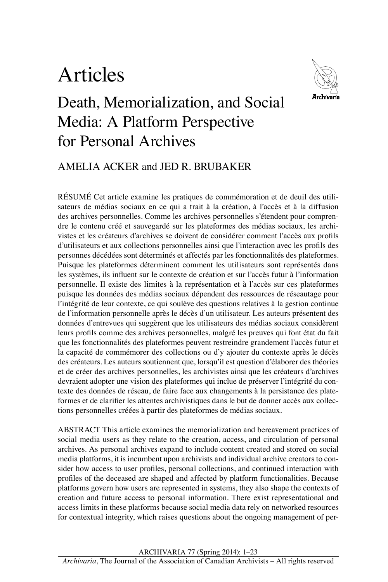# Articles



## Death, Memorialization, and Social Media: A Platform Perspective for Personal Archives

### AMELIA ACKER and JED R. BRUBAKER

RÉSUMÉ Cet article examine les pratiques de commémoration et de deuil des utilisateurs de médias sociaux en ce qui a trait à la création, à l'accès et à la diffusion des archives personnelles. Comme les archives personnelles s'étendent pour comprendre le contenu créé et sauvegardé sur les plateformes des médias sociaux, les archivistes et les créateurs d'archives se doivent de considérer comment l'accès aux profils d'utilisateurs et aux collections personnelles ainsi que l'interaction avec les profils des personnes décédées sont déterminés et affectés par les fonctionnalités des plateformes. Puisque les plateformes déterminent comment les utilisateurs sont représentés dans les systèmes, ils influent sur le contexte de création et sur l'accès futur à l'information personnelle. Il existe des limites à la représentation et à l'accès sur ces plateformes puisque les données des médias sociaux dépendent des ressources de réseautage pour l'intégrité de leur contexte, ce qui soulève des questions relatives à la gestion continue de l'information personnelle après le décès d'un utilisateur. Les auteurs présentent des données d'entrevues qui suggèrent que les utilisateurs des médias sociaux considèrent leurs profils comme des archives personnelles, malgré les preuves qui font état du fait que les fonctionnalités des plateformes peuvent restreindre grandement l'accès futur et la capacité de commémorer des collections ou d'y ajouter du contexte après le décès des créateurs. Les auteurs soutiennent que, lorsqu'il est question d'élaborer des théories et de créer des archives personnelles, les archivistes ainsi que les créateurs d'archives devraient adopter une vision des plateformes qui inclue de préserver l'intégrité du contexte des données de réseau, de faire face aux changements à la persistance des plateformes et de clarifier les attentes archivistiques dans le but de donner accès aux collections personnelles créées à partir des plateformes de médias sociaux.

ABSTRACT This article examines the memorialization and bereavement practices of social media users as they relate to the creation, access, and circulation of personal archives. As personal archives expand to include content created and stored on social media platforms, it is incumbent upon archivists and individual archive creators to consider how access to user profiles, personal collections, and continued interaction with profiles of the deceased are shaped and affected by platform functionalities. Because platforms govern how users are represented in systems, they also shape the contexts of creation and future access to personal information. There exist representational and access limits in these platforms because social media data rely on networked resources for contextual integrity, which raises questions about the ongoing management of per-

Archivaria 77 (Spring 2014): 1–23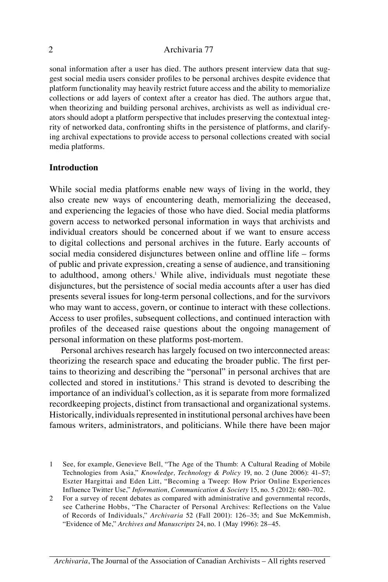sonal information after a user has died. The authors present interview data that suggest social media users consider profiles to be personal archives despite evidence that platform functionality may heavily restrict future access and the ability to memorialize collections or add layers of context after a creator has died. The authors argue that, when theorizing and building personal archives, archivists as well as individual creators should adopt a platform perspective that includes preserving the contextual integrity of networked data, confronting shifts in the persistence of platforms, and clarifying archival expectations to provide access to personal collections created with social media platforms.

#### **Introduction**

While social media platforms enable new ways of living in the world, they also create new ways of encountering death, memorializing the deceased, and experiencing the legacies of those who have died. Social media platforms govern access to networked personal information in ways that archivists and individual creators should be concerned about if we want to ensure access to digital collections and personal archives in the future. Early accounts of social media considered disjunctures between online and offline life – forms of public and private expression, creating a sense of audience, and transitioning to adulthood, among others.<sup>1</sup> While alive, individuals must negotiate these disjunctures, but the persistence of social media accounts after a user has died presents several issues for long-term personal collections, and for the survivors who may want to access, govern, or continue to interact with these collections. Access to user profiles, subsequent collections, and continued interaction with profiles of the deceased raise questions about the ongoing management of personal information on these platforms post-mortem.

Personal archives research has largely focused on two interconnected areas: theorizing the research space and educating the broader public. The first pertains to theorizing and describing the "personal" in personal archives that are collected and stored in institutions.2 This strand is devoted to describing the importance of an individual's collection, as it is separate from more formalized recordkeeping projects, distinct from transactional and organizational systems. Historically, individuals represented in institutional personal archives have been famous writers, administrators, and politicians. While there have been major

2 For a survey of recent debates as compared with administrative and governmental records, see Catherine Hobbs, "The Character of Personal Archives: Reflections on the Value of Records of Individuals," *Archivaria* 52 (Fall 2001): 126–35; and Sue McKemmish, "Evidence of Me," *Archives and Manuscripts* 24, no. 1 (May 1996): 28–45.

<sup>1</sup> See, for example, Genevieve Bell, "The Age of the Thumb: A Cultural Reading of Mobile Technologies from Asia," *Knowledge, Technology & Policy* 19, no. 2 (June 2006): 41–57; Eszter Hargittai and Eden Litt, "Becoming a Tweep: How Prior Online Experiences Influence Twitter Use," *Information, Communication & Society* 15, no. 5 (2012): 680–702.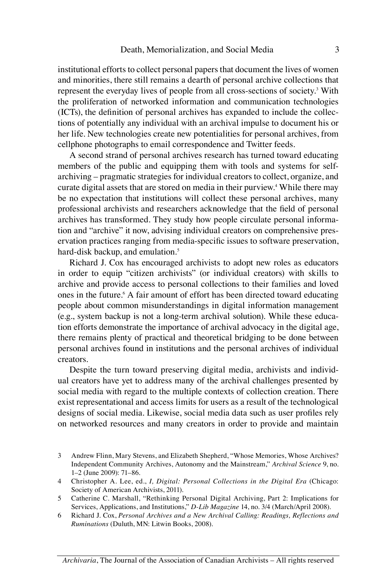institutional efforts to collect personal papers that document the lives of women and minorities, there still remains a dearth of personal archive collections that represent the everyday lives of people from all cross-sections of society.3 With the proliferation of networked information and communication technologies (ICTs), the definition of personal archives has expanded to include the collections of potentially any individual with an archival impulse to document his or her life. New technologies create new potentialities for personal archives, from cellphone photographs to email correspondence and Twitter feeds.

A second strand of personal archives research has turned toward educating members of the public and equipping them with tools and systems for selfarchiving – pragmatic strategies for individual creators to collect, organize, and curate digital assets that are stored on media in their purview.<sup>4</sup> While there may be no expectation that institutions will collect these personal archives, many professional archivists and researchers acknowledge that the field of personal archives has transformed. They study how people circulate personal information and "archive" it now, advising individual creators on comprehensive preservation practices ranging from media-specific issues to software preservation, hard-disk backup, and emulation.<sup>5</sup>

Richard J. Cox has encouraged archivists to adopt new roles as educators in order to equip "citizen archivists" (or individual creators) with skills to archive and provide access to personal collections to their families and loved ones in the future.<sup>6</sup> A fair amount of effort has been directed toward educating people about common misunderstandings in digital information management (e.g., system backup is not a long-term archival solution). While these education efforts demonstrate the importance of archival advocacy in the digital age, there remains plenty of practical and theoretical bridging to be done between personal archives found in institutions and the personal archives of individual creators.

Despite the turn toward preserving digital media, archivists and individual creators have yet to address many of the archival challenges presented by social media with regard to the multiple contexts of collection creation. There exist representational and access limits for users as a result of the technological designs of social media. Likewise, social media data such as user profiles rely on networked resources and many creators in order to provide and maintain

<sup>3</sup> Andrew Flinn, Mary Stevens, and Elizabeth Shepherd, "Whose Memories, Whose Archives? Independent Community Archives, Autonomy and the Mainstream," *Archival Science* 9, no. 1–2 (June 2009): 71–86.

<sup>4</sup> Christopher A. Lee, ed., *I, Digital: Personal Collections in the Digital Era* (Chicago: Society of American Archivists, 2011).

<sup>5</sup> Catherine C. Marshall, "Rethinking Personal Digital Archiving, Part 2: Implications for Services, Applications, and Institutions," *D-Lib Magazine* 14, no. 3/4 (March/April 2008).

<sup>6</sup> Richard J. Cox, *Personal Archives and a New Archival Calling: Readings, Reflections and Ruminations* (Duluth, MN: Litwin Books, 2008).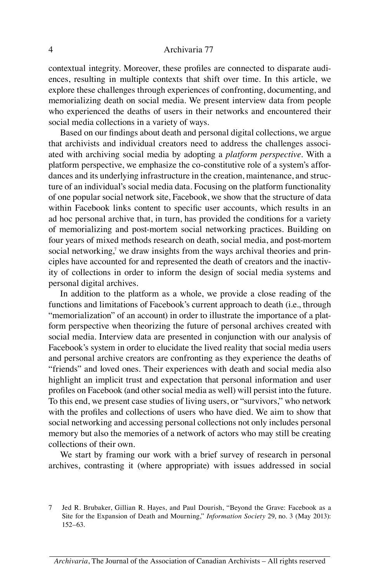contextual integrity. Moreover, these profiles are connected to disparate audiences, resulting in multiple contexts that shift over time. In this article, we explore these challenges through experiences of confronting, documenting, and memorializing death on social media. We present interview data from people who experienced the deaths of users in their networks and encountered their social media collections in a variety of ways.

Based on our findings about death and personal digital collections, we argue that archivists and individual creators need to address the challenges associated with archiving social media by adopting a *platform perspective*. With a platform perspective, we emphasize the co-constitutive role of a system's affordances and its underlying infrastructure in the creation, maintenance, and structure of an individual's social media data. Focusing on the platform functionality of one popular social network site, Facebook, we show that the structure of data within Facebook links content to specific user accounts, which results in an ad hoc personal archive that, in turn, has provided the conditions for a variety of memorializing and post-mortem social networking practices. Building on four years of mixed methods research on death, social media, and post-mortem social networking,<sup>7</sup> we draw insights from the ways archival theories and principles have accounted for and represented the death of creators and the inactivity of collections in order to inform the design of social media systems and personal digital archives.

In addition to the platform as a whole, we provide a close reading of the functions and limitations of Facebook's current approach to death (i.e., through "memorialization" of an account) in order to illustrate the importance of a platform perspective when theorizing the future of personal archives created with social media. Interview data are presented in conjunction with our analysis of Facebook's system in order to elucidate the lived reality that social media users and personal archive creators are confronting as they experience the deaths of "friends" and loved ones. Their experiences with death and social media also highlight an implicit trust and expectation that personal information and user profiles on Facebook (and other social media as well) will persist into the future. To this end, we present case studies of living users, or "survivors," who network with the profiles and collections of users who have died. We aim to show that social networking and accessing personal collections not only includes personal memory but also the memories of a network of actors who may still be creating collections of their own.

We start by framing our work with a brief survey of research in personal archives, contrasting it (where appropriate) with issues addressed in social

<sup>7</sup> Jed R. Brubaker, Gillian R. Hayes, and Paul Dourish, "Beyond the Grave: Facebook as a Site for the Expansion of Death and Mourning," *Information Society* 29, no. 3 (May 2013): 152–63.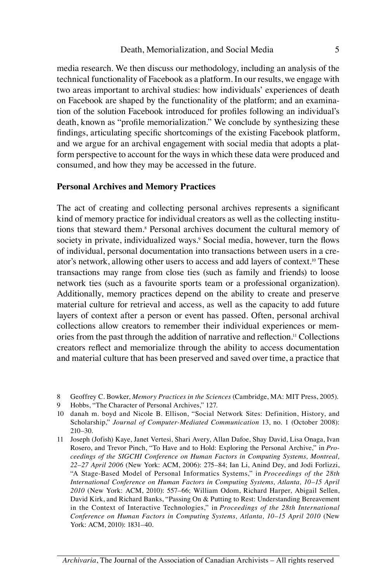media research. We then discuss our methodology, including an analysis of the technical functionality of Facebook as a platform. In our results, we engage with two areas important to archival studies: how individuals' experiences of death on Facebook are shaped by the functionality of the platform; and an examination of the solution Facebook introduced for profiles following an individual's death, known as "profile memorialization." We conclude by synthesizing these findings, articulating specific shortcomings of the existing Facebook platform, and we argue for an archival engagement with social media that adopts a platform perspective to account for the ways in which these data were produced and consumed, and how they may be accessed in the future.

#### **Personal Archives and Memory Practices**

The act of creating and collecting personal archives represents a significant kind of memory practice for individual creators as well as the collecting institutions that steward them.<sup>8</sup> Personal archives document the cultural memory of society in private, individualized ways.<sup>9</sup> Social media, however, turn the flows of individual, personal documentation into transactions between users in a creator's network, allowing other users to access and add layers of context.<sup>10</sup> These transactions may range from close ties (such as family and friends) to loose network ties (such as a favourite sports team or a professional organization). Additionally, memory practices depend on the ability to create and preserve material culture for retrieval and access, as well as the capacity to add future layers of context after a person or event has passed. Often, personal archival collections allow creators to remember their individual experiences or memories from the past through the addition of narrative and reflection.11 Collections creators reflect and memorialize through the ability to access documentation and material culture that has been preserved and saved over time, a practice that

- 8 Geoffrey C. Bowker, *Memory Practices in the Sciences* (Cambridge, MA: MIT Press, 2005).
- 9 Hobbs, "The Character of Personal Archives," 127.
- 10 danah m. boyd and Nicole B. Ellison, "Social Network Sites: Definition, History, and Scholarship," *Journal of Computer-Mediated Communication* 13, no. 1 (October 2008): 210–30.
- 11 Joseph (Jofish) Kaye, Janet Vertesi, Shari Avery, Allan Dafoe, Shay David, Lisa Onaga, Ivan Rosero, and Trevor Pinch, "To Have and to Hold: Exploring the Personal Archive," in *Proceedings of the SIGCHI Conference on Human Factors in Computing Systems, Montreal, 22–27 April 2006* (New York: ACM, 2006): 275–84; Ian Li, Anind Dey, and Jodi Forlizzi, "A Stage-Based Model of Personal Informatics Systems," in *Proceedings of the 28th International Conference on Human Factors in Computing Systems, Atlanta, 10–15 April 2010* (New York: ACM, 2010): 557–66; William Odom, Richard Harper, Abigail Sellen, David Kirk, and Richard Banks, "Passing On & Putting to Rest: Understanding Bereavement in the Context of Interactive Technologies," in *Proceedings of the 28th International Conference on Human Factors in Computing Systems, Atlanta, 10–15 April 2010* (New York: ACM, 2010): 1831–40.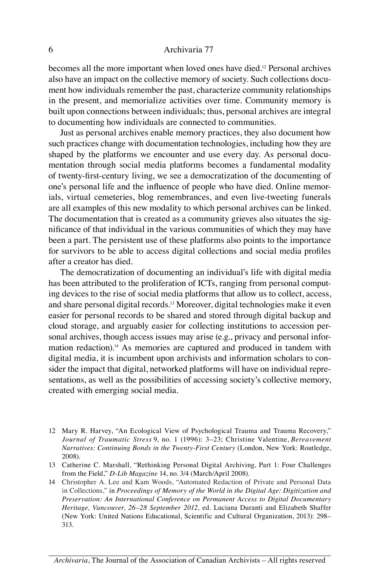becomes all the more important when loved ones have died.12 Personal archives also have an impact on the collective memory of society. Such collections document how individuals remember the past, characterize community relationships in the present, and memorialize activities over time. Community memory is built upon connections between individuals; thus, personal archives are integral to documenting how individuals are connected to communities.

Just as personal archives enable memory practices, they also document how such practices change with documentation technologies, including how they are shaped by the platforms we encounter and use every day. As personal documentation through social media platforms becomes a fundamental modality of twenty-first-century living, we see a democratization of the documenting of one's personal life and the influence of people who have died. Online memorials, virtual cemeteries, blog remembrances, and even live-tweeting funerals are all examples of this new modality to which personal archives can be linked. The documentation that is created as a community grieves also situates the significance of that individual in the various communities of which they may have been a part. The persistent use of these platforms also points to the importance for survivors to be able to access digital collections and social media profiles after a creator has died.

The democratization of documenting an individual's life with digital media has been attributed to the proliferation of ICTs, ranging from personal computing devices to the rise of social media platforms that allow us to collect, access, and share personal digital records.13 Moreover, digital technologies make it even easier for personal records to be shared and stored through digital backup and cloud storage, and arguably easier for collecting institutions to accession personal archives, though access issues may arise (e.g., privacy and personal information redaction).<sup>14</sup> As memories are captured and produced in tandem with digital media, it is incumbent upon archivists and information scholars to consider the impact that digital, networked platforms will have on individual representations, as well as the possibilities of accessing society's collective memory, created with emerging social media.

- 12 Mary R. Harvey, "An Ecological View of Psychological Trauma and Trauma Recovery," *Journal of Traumatic Stress* 9, no. 1 (1996): 3–23; Christine Valentine, *Bereavement Narratives: Continuing Bonds in the Twenty-First Century* (London, New York: Routledge, 2008).
- 13 Catherine C. Marshall, "Rethinking Personal Digital Archiving, Part 1: Four Challenges from the Field," *D-Lib Magazine* 14, no. 3/4 (March/April 2008).
- 14 Christopher A. Lee and Kam Woods, "Automated Redaction of Private and Personal Data in Collections," in *Proceedings of Memory of the World in the Digital Age: Digitization and Preservation: An International Conference on Permanent Access to Digital Documentary Heritage, Vancouver, 26–28 September 2012,* ed. Luciana Duranti and Elizabeth Shaffer (New York: United Nations Educational, Scientific and Cultural Organization, 2013): 298– 313.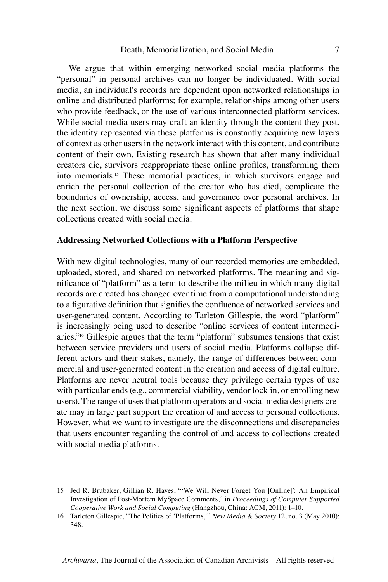We argue that within emerging networked social media platforms the "personal" in personal archives can no longer be individuated. With social media, an individual's records are dependent upon networked relationships in online and distributed platforms; for example, relationships among other users who provide feedback, or the use of various interconnected platform services. While social media users may craft an identity through the content they post, the identity represented via these platforms is constantly acquiring new layers of context as other users in the network interact with this content, and contribute content of their own. Existing research has shown that after many individual creators die, survivors reappropriate these online profiles, transforming them into memorials.15 These memorial practices, in which survivors engage and enrich the personal collection of the creator who has died, complicate the boundaries of ownership, access, and governance over personal archives. In the next section, we discuss some significant aspects of platforms that shape collections created with social media.

#### **Addressing Networked Collections with a Platform Perspective**

With new digital technologies, many of our recorded memories are embedded, uploaded, stored, and shared on networked platforms. The meaning and significance of "platform" as a term to describe the milieu in which many digital records are created has changed over time from a computational understanding to a figurative definition that signifies the confluence of networked services and user-generated content. According to Tarleton Gillespie, the word "platform" is increasingly being used to describe "online services of content intermediaries."<sup>16</sup> Gillespie argues that the term "platform" subsumes tensions that exist between service providers and users of social media. Platforms collapse different actors and their stakes, namely, the range of differences between commercial and user-generated content in the creation and access of digital culture. Platforms are never neutral tools because they privilege certain types of use with particular ends (e.g., commercial viability, vendor lock-in, or enrolling new users). The range of uses that platform operators and social media designers create may in large part support the creation of and access to personal collections. However, what we want to investigate are the disconnections and discrepancies that users encounter regarding the control of and access to collections created with social media platforms.

<sup>15</sup> Jed R. Brubaker, Gillian R. Hayes, "'We Will Never Forget You [Online]': An Empirical Investigation of Post-Mortem MySpace Comments," in *Proceedings of Computer Supported Cooperative Work and Social Computing* (Hangzhou, China: ACM, 2011): 1–10.

<sup>16</sup> Tarleton Gillespie, "The Politics of 'Platforms,'" *New Media & Society* 12, no. 3 (May 2010): 348.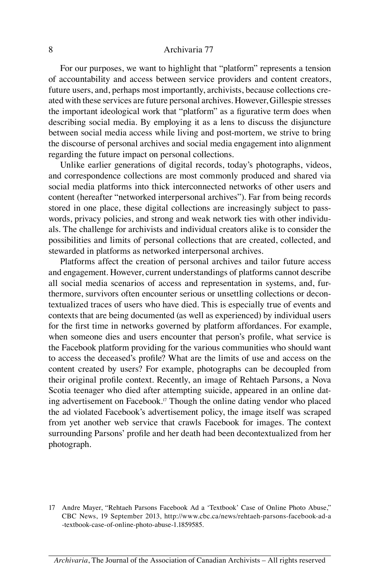For our purposes, we want to highlight that "platform" represents a tension of accountability and access between service providers and content creators, future users, and, perhaps most importantly, archivists, because collections created with these services are future personal archives. However, Gillespie stresses the important ideological work that "platform" as a figurative term does when describing social media. By employing it as a lens to discuss the disjuncture between social media access while living and post-mortem, we strive to bring the discourse of personal archives and social media engagement into alignment regarding the future impact on personal collections.

Unlike earlier generations of digital records, today's photographs, videos, and correspondence collections are most commonly produced and shared via social media platforms into thick interconnected networks of other users and content (hereafter "networked interpersonal archives"). Far from being records stored in one place, these digital collections are increasingly subject to passwords, privacy policies, and strong and weak network ties with other individuals. The challenge for archivists and individual creators alike is to consider the possibilities and limits of personal collections that are created, collected, and stewarded in platforms as networked interpersonal archives.

Platforms affect the creation of personal archives and tailor future access and engagement. However, current understandings of platforms cannot describe all social media scenarios of access and representation in systems, and, furthermore, survivors often encounter serious or unsettling collections or decontextualized traces of users who have died. This is especially true of events and contexts that are being documented (as well as experienced) by individual users for the first time in networks governed by platform affordances. For example, when someone dies and users encounter that person's profile, what service is the Facebook platform providing for the various communities who should want to access the deceased's profile? What are the limits of use and access on the content created by users? For example, photographs can be decoupled from their original profile context. Recently, an image of Rehtaeh Parsons, a Nova Scotia teenager who died after attempting suicide, appeared in an online dating advertisement on Facebook.17 Though the online dating vendor who placed the ad violated Facebook's advertisement policy, the image itself was scraped from yet another web service that crawls Facebook for images. The context surrounding Parsons' profile and her death had been decontextualized from her photograph.

<sup>17</sup> Andre Mayer, "Rehtaeh Parsons Facebook Ad a 'Textbook' Case of Online Photo Abuse," CBC News, 19 September 2013, http://www.cbc.ca/news/rehtaeh-parsons-facebook-ad-a -textbook-case-of-online-photo-abuse-1.1859585.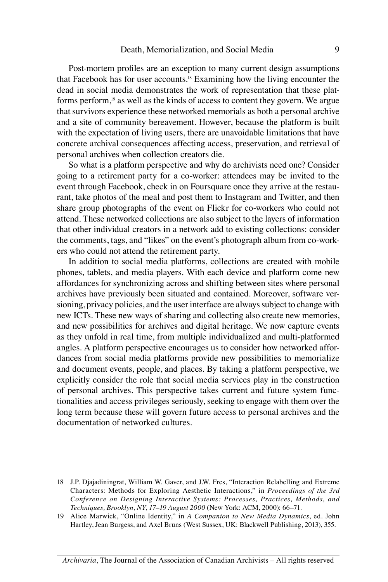Post-mortem profiles are an exception to many current design assumptions that Facebook has for user accounts.18 Examining how the living encounter the dead in social media demonstrates the work of representation that these platforms perform,<sup>19</sup> as well as the kinds of access to content they govern. We argue that survivors experience these networked memorials as both a personal archive and a site of community bereavement. However, because the platform is built with the expectation of living users, there are unavoidable limitations that have concrete archival consequences affecting access, preservation, and retrieval of personal archives when collection creators die.

So what is a platform perspective and why do archivists need one? Consider going to a retirement party for a co-worker: attendees may be invited to the event through Facebook, check in on Foursquare once they arrive at the restaurant, take photos of the meal and post them to Instagram and Twitter, and then share group photographs of the event on Flickr for co-workers who could not attend. These networked collections are also subject to the layers of information that other individual creators in a network add to existing collections: consider the comments, tags, and "likes" on the event's photograph album from co-workers who could not attend the retirement party.

In addition to social media platforms, collections are created with mobile phones, tablets, and media players. With each device and platform come new affordances for synchronizing across and shifting between sites where personal archives have previously been situated and contained. Moreover, software versioning, privacy policies, and the user interface are always subject to change with new ICTs. These new ways of sharing and collecting also create new memories, and new possibilities for archives and digital heritage. We now capture events as they unfold in real time, from multiple individualized and multi-platformed angles. A platform perspective encourages us to consider how networked affordances from social media platforms provide new possibilities to memorialize and document events, people, and places. By taking a platform perspective, we explicitly consider the role that social media services play in the construction of personal archives. This perspective takes current and future system functionalities and access privileges seriously, seeking to engage with them over the long term because these will govern future access to personal archives and the documentation of networked cultures.

<sup>18</sup> J.P. Djajadiningrat, William W. Gaver, and J.W. Fres, "Interaction Relabelling and Extreme Characters: Methods for Exploring Aesthetic Interactions," in *Proceedings of the 3rd Conference on Designing Interactive Systems: Processes, Practices, Methods, and Techniques, Brooklyn, NY, 17–19 August 2000* (New York: ACM, 2000): 66–71.

<sup>19</sup> Alice Marwick, "Online Identity," in *A Companion to New Media Dynamics*, ed. John Hartley, Jean Burgess, and Axel Bruns (West Sussex, UK: Blackwell Publishing, 2013), 355.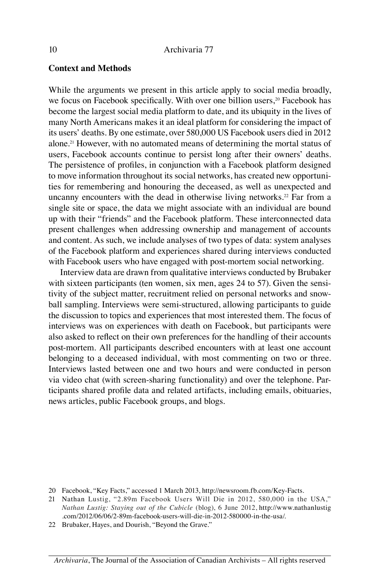#### **Context and Methods**

While the arguments we present in this article apply to social media broadly, we focus on Facebook specifically. With over one billion users,<sup>20</sup> Facebook has become the largest social media platform to date, and its ubiquity in the lives of many North Americans makes it an ideal platform for considering the impact of its users' deaths. By one estimate, over 580,000 US Facebook users died in 2012 alone.21 However, with no automated means of determining the mortal status of users, Facebook accounts continue to persist long after their owners' deaths. The persistence of profiles, in conjunction with a Facebook platform designed to move information throughout its social networks, has created new opportunities for remembering and honouring the deceased, as well as unexpected and uncanny encounters with the dead in otherwise living networks.<sup>22</sup> Far from a single site or space, the data we might associate with an individual are bound up with their "friends" and the Facebook platform. These interconnected data present challenges when addressing ownership and management of accounts and content. As such, we include analyses of two types of data: system analyses of the Facebook platform and experiences shared during interviews conducted with Facebook users who have engaged with post-mortem social networking.

Interview data are drawn from qualitative interviews conducted by Brubaker with sixteen participants (ten women, six men, ages 24 to 57). Given the sensitivity of the subject matter, recruitment relied on personal networks and snowball sampling. Interviews were semi-structured, allowing participants to guide the discussion to topics and experiences that most interested them. The focus of interviews was on experiences with death on Facebook, but participants were also asked to reflect on their own preferences for the handling of their accounts post-mortem. All participants described encounters with at least one account belonging to a deceased individual, with most commenting on two or three. Interviews lasted between one and two hours and were conducted in person via video chat (with screen-sharing functionality) and over the telephone. Participants shared profile data and related artifacts, including emails, obituaries, news articles, public Facebook groups, and blogs.

<sup>20</sup> Facebook, "Key Facts," accessed 1 March 2013, http://newsroom.fb.com/Key-Facts.

<sup>21</sup> Nathan Lustig, "2.89m Facebook Users Will Die in 2012, 580,000 in the USA," *Nathan Lustig: Staying out of the Cubicle* (blog), 6 June 2012, http://www.nathanlustig .com/2012/06/06/2-89m-facebook-users-will-die-in-2012-580000-in-the-usa/.

<sup>22</sup> Brubaker, Hayes, and Dourish, "Beyond the Grave."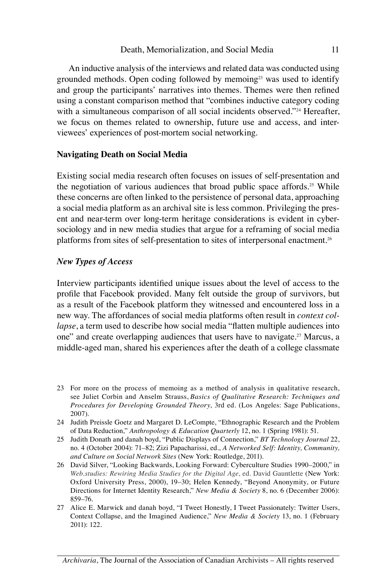An inductive analysis of the interviews and related data was conducted using grounded methods. Open coding followed by memoing<sup>23</sup> was used to identify and group the participants' narratives into themes. Themes were then refined using a constant comparison method that "combines inductive category coding with a simultaneous comparison of all social incidents observed."<sup>24</sup> Hereafter, we focus on themes related to ownership, future use and access, and interviewees' experiences of post-mortem social networking.

#### **Navigating Death on Social Media**

Existing social media research often focuses on issues of self-presentation and the negotiation of various audiences that broad public space affords.<sup>25</sup> While these concerns are often linked to the persistence of personal data, approaching a social media platform as an archival site is less common. Privileging the present and near-term over long-term heritage considerations is evident in cybersociology and in new media studies that argue for a reframing of social media platforms from sites of self-presentation to sites of interpersonal enactment.26

#### *New Types of Access*

Interview participants identified unique issues about the level of access to the profile that Facebook provided. Many felt outside the group of survivors, but as a result of the Facebook platform they witnessed and encountered loss in a new way. The affordances of social media platforms often result in *context collapse*, a term used to describe how social media "flatten multiple audiences into one" and create overlapping audiences that users have to navigate.<sup>27</sup> Marcus, a middle-aged man, shared his experiences after the death of a college classmate

- 23 For more on the process of memoing as a method of analysis in qualitative research, see Juliet Corbin and Anselm Strauss, *Basics of Qualitative Research: Techniques and Procedures for Developing Grounded Theory*, 3rd ed. (Los Angeles: Sage Publications, 2007).
- 24 Judith Preissle Goetz and Margaret D. LeCompte, "Ethnographic Research and the Problem of Data Reduction," *Anthropology & Education Quarterly* 12, no. 1 (Spring 1981): 51.
- 25 Judith Donath and danah boyd, "Public Displays of Connection," *BT Technology Journal* 22, no. 4 (October 2004): 71–82; Zizi Papacharissi, ed., *A Networked Self: Identity, Community, and Culture on Social Network Sites* (New York: Routledge, 2011).
- 26 David Silver, "Looking Backwards, Looking Forward: Cyberculture Studies 1990–2000," in *Web.studies: Rewiring Media Studies for the Digital Age*, ed. David Gauntlette (New York: Oxford University Press, 2000), 19–30; Helen Kennedy, "Beyond Anonymity, or Future Directions for Internet Identity Research," *New Media & Society* 8, no. 6 (December 2006): 859–76.
- 27 Alice E. Marwick and danah boyd, "I Tweet Honestly, I Tweet Passionately: Twitter Users, Context Collapse, and the Imagined Audience," *New Media & Society* 13, no. 1 (February 2011): 122.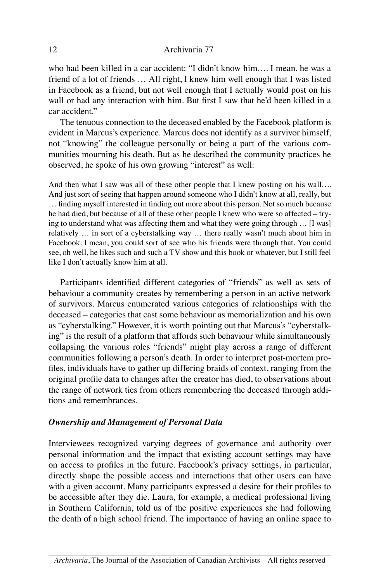who had been killed in a car accident: "I didn't know him…. I mean, he was a friend of a lot of friends … All right, I knew him well enough that I was listed in Facebook as a friend, but not well enough that I actually would post on his wall or had any interaction with him. But first I saw that he'd been killed in a car accident."

The tenuous connection to the deceased enabled by the Facebook platform is evident in Marcus's experience. Marcus does not identify as a survivor himself, not "knowing" the colleague personally or being a part of the various communities mourning his death. But as he described the community practices he observed, he spoke of his own growing "interest" as well:

And then what I saw was all of these other people that I knew posting on his wall…. And just sort of seeing that happen around someone who I didn't know at all, really, but … finding myself interested in finding out more about this person. Not so much because he had died, but because of all of these other people I knew who were so affected – trying to understand what was affecting them and what they were going through … [I was] relatively … in sort of a cyberstalking way … there really wasn't much about him in Facebook. I mean, you could sort of see who his friends were through that. You could see, oh well, he likes such and such a TV show and this book or whatever, but I still feel like I don't actually know him at all.

Participants identified different categories of "friends" as well as sets of behaviour a community creates by remembering a person in an active network of survivors. Marcus enumerated various categories of relationships with the deceased – categories that cast some behaviour as memorialization and his own as "cyberstalking." However, it is worth pointing out that Marcus's "cyberstalking" is the result of a platform that affords such behaviour while simultaneously collapsing the various roles "friends" might play across a range of different communities following a person's death. In order to interpret post-mortem profiles, individuals have to gather up differing braids of context, ranging from the original profile data to changes after the creator has died, to observations about the range of network ties from others remembering the deceased through additions and remembrances.

#### *Ownership and Management of Personal Data*

Interviewees recognized varying degrees of governance and authority over personal information and the impact that existing account settings may have on access to profiles in the future. Facebook's privacy settings, in particular, directly shape the possible access and interactions that other users can have with a given account. Many participants expressed a desire for their profiles to be accessible after they die. Laura, for example, a medical professional living in Southern California, told us of the positive experiences she had following the death of a high school friend. The importance of having an online space to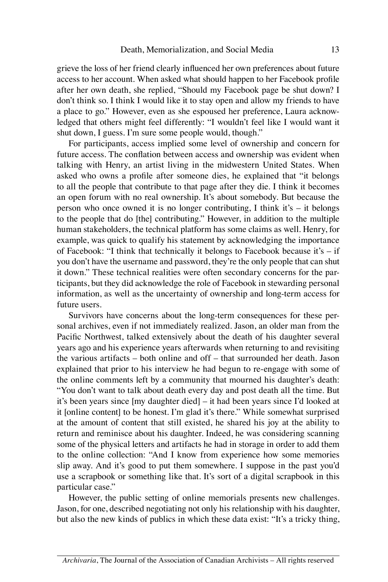grieve the loss of her friend clearly influenced her own preferences about future access to her account. When asked what should happen to her Facebook profile after her own death, she replied, "Should my Facebook page be shut down? I don't think so. I think I would like it to stay open and allow my friends to have a place to go." However, even as she espoused her preference, Laura acknowledged that others might feel differently: "I wouldn't feel like I would want it shut down, I guess. I'm sure some people would, though."

For participants, access implied some level of ownership and concern for future access. The conflation between access and ownership was evident when talking with Henry, an artist living in the midwestern United States. When asked who owns a profile after someone dies, he explained that "it belongs to all the people that contribute to that page after they die. I think it becomes an open forum with no real ownership. It's about somebody. But because the person who once owned it is no longer contributing, I think it's – it belongs to the people that do [the] contributing." However, in addition to the multiple human stakeholders, the technical platform has some claims as well. Henry, for example, was quick to qualify his statement by acknowledging the importance of Facebook: "I think that technically it belongs to Facebook because it's – if you don't have the username and password, they're the only people that can shut it down." These technical realities were often secondary concerns for the participants, but they did acknowledge the role of Facebook in stewarding personal information, as well as the uncertainty of ownership and long-term access for future users.

Survivors have concerns about the long-term consequences for these personal archives, even if not immediately realized. Jason, an older man from the Pacific Northwest, talked extensively about the death of his daughter several years ago and his experience years afterwards when returning to and revisiting the various artifacts – both online and off – that surrounded her death. Jason explained that prior to his interview he had begun to re-engage with some of the online comments left by a community that mourned his daughter's death: "You don't want to talk about death every day and post death all the time. But it's been years since [my daughter died] – it had been years since I'd looked at it [online content] to be honest. I'm glad it's there." While somewhat surprised at the amount of content that still existed, he shared his joy at the ability to return and reminisce about his daughter. Indeed, he was considering scanning some of the physical letters and artifacts he had in storage in order to add them to the online collection: "And I know from experience how some memories slip away. And it's good to put them somewhere. I suppose in the past you'd use a scrapbook or something like that. It's sort of a digital scrapbook in this particular case."

However, the public setting of online memorials presents new challenges. Jason, for one, described negotiating not only his relationship with his daughter, but also the new kinds of publics in which these data exist: "It's a tricky thing,

*Archivaria*, The Journal of the Association of Canadian Archivists – All rights reserved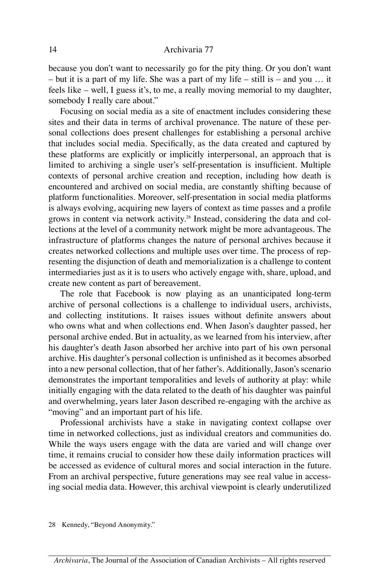because you don't want to necessarily go for the pity thing. Or you don't want – but it is a part of my life. She was a part of my life – still is – and you … it feels like – well, I guess it's, to me, a really moving memorial to my daughter, somebody I really care about."

Focusing on social media as a site of enactment includes considering these sites and their data in terms of archival provenance. The nature of these personal collections does present challenges for establishing a personal archive that includes social media. Specifically, as the data created and captured by these platforms are explicitly or implicitly interpersonal, an approach that is limited to archiving a single user's self-presentation is insufficient. Multiple contexts of personal archive creation and reception, including how death is encountered and archived on social media, are constantly shifting because of platform functionalities. Moreover, self-presentation in social media platforms is always evolving, acquiring new layers of context as time passes and a profile grows in content via network activity.<sup>28</sup> Instead, considering the data and collections at the level of a community network might be more advantageous. The infrastructure of platforms changes the nature of personal archives because it creates networked collections and multiple uses over time. The process of representing the disjunction of death and memorialization is a challenge to content intermediaries just as it is to users who actively engage with, share, upload, and create new content as part of bereavement.

The role that Facebook is now playing as an unanticipated long-term archive of personal collections is a challenge to individual users, archivists, and collecting institutions. It raises issues without definite answers about who owns what and when collections end. When Jason's daughter passed, her personal archive ended. But in actuality, as we learned from his interview, after his daughter's death Jason absorbed her archive into part of his own personal archive. His daughter's personal collection is unfinished as it becomes absorbed into a new personal collection, that of her father's. Additionally, Jason's scenario demonstrates the important temporalities and levels of authority at play: while initially engaging with the data related to the death of his daughter was painful and overwhelming, years later Jason described re-engaging with the archive as "moving" and an important part of his life.

Professional archivists have a stake in navigating context collapse over time in networked collections, just as individual creators and communities do. While the ways users engage with the data are varied and will change over time, it remains crucial to consider how these daily information practices will be accessed as evidence of cultural mores and social interaction in the future. From an archival perspective, future generations may see real value in accessing social media data. However, this archival viewpoint is clearly underutilized

28 Kennedy, "Beyond Anonymity."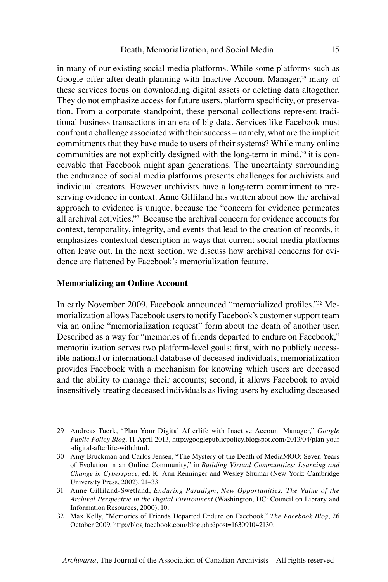in many of our existing social media platforms. While some platforms such as Google offer after-death planning with Inactive Account Manager,<sup>29</sup> many of these services focus on downloading digital assets or deleting data altogether. They do not emphasize access for future users, platform specificity, or preservation. From a corporate standpoint, these personal collections represent traditional business transactions in an era of big data. Services like Facebook must confront a challenge associated with their success – namely, what are the implicit commitments that they have made to users of their systems? While many online communities are not explicitly designed with the long-term in mind, $30$  it is conceivable that Facebook might span generations. The uncertainty surrounding the endurance of social media platforms presents challenges for archivists and individual creators. However archivists have a long-term commitment to preserving evidence in context. Anne Gilliland has written about how the archival approach to evidence is unique, because the "concern for evidence permeates all archival activities."31 Because the archival concern for evidence accounts for context, temporality, integrity, and events that lead to the creation of records, it emphasizes contextual description in ways that current social media platforms often leave out. In the next section, we discuss how archival concerns for evidence are flattened by Facebook's memorialization feature.

#### **Memorializing an Online Account**

In early November 2009, Facebook announced "memorialized profiles."32 Memorialization allows Facebook users to notify Facebook's customer support team via an online "memorialization request" form about the death of another user. Described as a way for "memories of friends departed to endure on Facebook," memorialization serves two platform-level goals: first, with no publicly accessible national or international database of deceased individuals, memorialization provides Facebook with a mechanism for knowing which users are deceased and the ability to manage their accounts; second, it allows Facebook to avoid insensitively treating deceased individuals as living users by excluding deceased

- 29 Andreas Tuerk, "Plan Your Digital Afterlife with Inactive Account Manager," *Google Public Policy Blog*, 11 April 2013, http://googlepublicpolicy.blogspot.com/2013/04/plan-your -digital-afterlife-with.html.
- 30 Amy Bruckman and Carlos Jensen, "The Mystery of the Death of MediaMOO: Seven Years of Evolution in an Online Community," in *Building Virtual Communities: Learning and Change in Cyberspace*, ed. K. Ann Renninger and Wesley Shumar (New York: Cambridge University Press, 2002), 21–33.
- 31 Anne Gilliland-Swetland, *Enduring Paradigm, New Opportunities: The Value of the Archival Perspective in the Digital Environment* (Washington, DC: Council on Library and Information Resources, 2000), 10.
- 32 Max Kelly, "Memories of Friends Departed Endure on Facebook," *The Facebook Blog*, 26 October 2009, http://blog.facebook.com/blog.php?post=163091042130.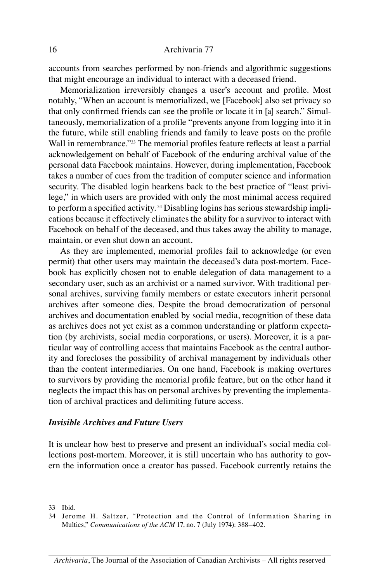accounts from searches performed by non-friends and algorithmic suggestions that might encourage an individual to interact with a deceased friend.

Memorialization irreversibly changes a user's account and profile. Most notably, "When an account is memorialized, we [Facebook] also set privacy so that only confirmed friends can see the profile or locate it in [a] search." Simultaneously, memorialization of a profile "prevents anyone from logging into it in the future, while still enabling friends and family to leave posts on the profile Wall in remembrance."<sup>33</sup> The memorial profiles feature reflects at least a partial acknowledgement on behalf of Facebook of the enduring archival value of the personal data Facebook maintains. However, during implementation, Facebook takes a number of cues from the tradition of computer science and information security. The disabled login hearkens back to the best practice of "least privilege," in which users are provided with only the most minimal access required to perform a specified activity.<sup>34</sup> Disabling logins has serious stewardship implications because it effectively eliminates the ability for a survivor to interact with Facebook on behalf of the deceased, and thus takes away the ability to manage, maintain, or even shut down an account.

As they are implemented, memorial profiles fail to acknowledge (or even permit) that other users may maintain the deceased's data post-mortem. Facebook has explicitly chosen not to enable delegation of data management to a secondary user, such as an archivist or a named survivor. With traditional personal archives, surviving family members or estate executors inherit personal archives after someone dies. Despite the broad democratization of personal archives and documentation enabled by social media, recognition of these data as archives does not yet exist as a common understanding or platform expectation (by archivists, social media corporations, or users). Moreover, it is a particular way of controlling access that maintains Facebook as the central authority and forecloses the possibility of archival management by individuals other than the content intermediaries. On one hand, Facebook is making overtures to survivors by providing the memorial profile feature, but on the other hand it neglects the impact this has on personal archives by preventing the implementation of archival practices and delimiting future access.

#### *Invisible Archives and Future Users*

It is unclear how best to preserve and present an individual's social media collections post-mortem. Moreover, it is still uncertain who has authority to govern the information once a creator has passed. Facebook currently retains the

33 Ibid.

<sup>34</sup> Jerome H. Saltzer, "Protection and the Control of Information Sharing in Multics," *Communications of the ACM* 17, no. 7 (July 1974): 388–402.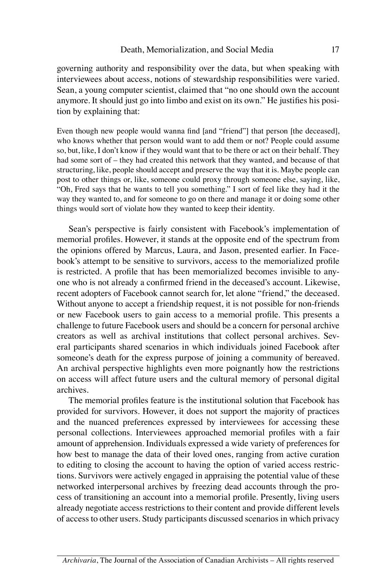governing authority and responsibility over the data, but when speaking with interviewees about access, notions of stewardship responsibilities were varied. Sean, a young computer scientist, claimed that "no one should own the account anymore. It should just go into limbo and exist on its own." He justifies his position by explaining that:

Even though new people would wanna find [and "friend"] that person [the deceased], who knows whether that person would want to add them or not? People could assume so, but, like, I don't know if they would want that to be there or act on their behalf. They had some sort of – they had created this network that they wanted, and because of that structuring, like, people should accept and preserve the way that it is. Maybe people can post to other things or, like, someone could proxy through someone else, saying, like, "Oh, Fred says that he wants to tell you something." I sort of feel like they had it the way they wanted to, and for someone to go on there and manage it or doing some other things would sort of violate how they wanted to keep their identity.

Sean's perspective is fairly consistent with Facebook's implementation of memorial profiles. However, it stands at the opposite end of the spectrum from the opinions offered by Marcus, Laura, and Jason, presented earlier. In Facebook's attempt to be sensitive to survivors, access to the memorialized profile is restricted. A profile that has been memorialized becomes invisible to anyone who is not already a confirmed friend in the deceased's account. Likewise, recent adopters of Facebook cannot search for, let alone "friend," the deceased. Without anyone to accept a friendship request, it is not possible for non-friends or new Facebook users to gain access to a memorial profile. This presents a challenge to future Facebook users and should be a concern for personal archive creators as well as archival institutions that collect personal archives. Several participants shared scenarios in which individuals joined Facebook after someone's death for the express purpose of joining a community of bereaved. An archival perspective highlights even more poignantly how the restrictions on access will affect future users and the cultural memory of personal digital archives.

The memorial profiles feature is the institutional solution that Facebook has provided for survivors. However, it does not support the majority of practices and the nuanced preferences expressed by interviewees for accessing these personal collections. Interviewees approached memorial profiles with a fair amount of apprehension. Individuals expressed a wide variety of preferences for how best to manage the data of their loved ones, ranging from active curation to editing to closing the account to having the option of varied access restrictions. Survivors were actively engaged in appraising the potential value of these networked interpersonal archives by freezing dead accounts through the process of transitioning an account into a memorial profile. Presently, living users already negotiate access restrictions to their content and provide different levels of access to other users. Study participants discussed scenarios in which privacy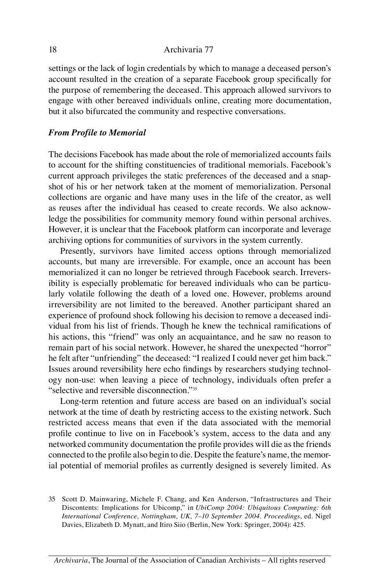settings or the lack of login credentials by which to manage a deceased person's account resulted in the creation of a separate Facebook group specifically for the purpose of remembering the deceased. This approach allowed survivors to engage with other bereaved individuals online, creating more documentation, but it also bifurcated the community and respective conversations.

#### *From Profile to Memorial*

The decisions Facebook has made about the role of memorialized accounts fails to account for the shifting constituencies of traditional memorials. Facebook's current approach privileges the static preferences of the deceased and a snapshot of his or her network taken at the moment of memorialization. Personal collections are organic and have many uses in the life of the creator, as well as reuses after the individual has ceased to create records. We also acknowledge the possibilities for community memory found within personal archives. However, it is unclear that the Facebook platform can incorporate and leverage archiving options for communities of survivors in the system currently.

Presently, survivors have limited access options through memorialized accounts, but many are irreversible. For example, once an account has been memorialized it can no longer be retrieved through Facebook search. Irreversibility is especially problematic for bereaved individuals who can be particularly volatile following the death of a loved one. However, problems around irreversibility are not limited to the bereaved. Another participant shared an experience of profound shock following his decision to remove a deceased individual from his list of friends. Though he knew the technical ramifications of his actions, this "friend" was only an acquaintance, and he saw no reason to remain part of his social network. However, he shared the unexpected "horror" he felt after "unfriending" the deceased: "I realized I could never get him back." Issues around reversibility here echo findings by researchers studying technology non-use: when leaving a piece of technology, individuals often prefer a "selective and reversible disconnection."35

Long-term retention and future access are based on an individual's social network at the time of death by restricting access to the existing network. Such restricted access means that even if the data associated with the memorial profile continue to live on in Facebook's system, access to the data and any networked community documentation the profile provides will die as the friends connected to the profile also begin to die. Despite the feature's name, the memorial potential of memorial profiles as currently designed is severely limited. As

<sup>35</sup> Scott D. Mainwaring, Michele F. Chang, and Ken Anderson, "Infrastructures and Their Discontents: Implications for Ubicomp," in *UbiComp 2004: Ubiquitous Computing: 6th International Conference, Nottingham, UK, 7–10 September 2004. Proceedings*, ed. Nigel Davies, Elizabeth D. Mynatt, and Itiro Siio (Berlin, New York: Springer, 2004): 425.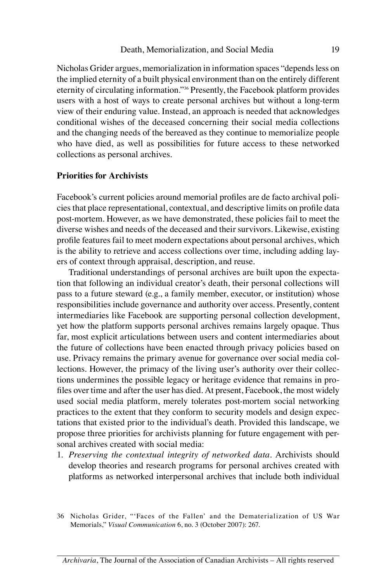Nicholas Grider argues, memorialization in information spaces "depends less on the implied eternity of a built physical environment than on the entirely different eternity of circulating information."36 Presently, the Facebook platform provides users with a host of ways to create personal archives but without a long-term view of their enduring value. Instead, an approach is needed that acknowledges conditional wishes of the deceased concerning their social media collections and the changing needs of the bereaved as they continue to memorialize people who have died, as well as possibilities for future access to these networked collections as personal archives.

#### **Priorities for Archivists**

Facebook's current policies around memorial profiles are de facto archival policies that place representational, contextual, and descriptive limits on profile data post-mortem. However, as we have demonstrated, these policies fail to meet the diverse wishes and needs of the deceased and their survivors. Likewise, existing profile features fail to meet modern expectations about personal archives, which is the ability to retrieve and access collections over time, including adding layers of context through appraisal, description, and reuse.

Traditional understandings of personal archives are built upon the expectation that following an individual creator's death, their personal collections will pass to a future steward (e.g., a family member, executor, or institution) whose responsibilities include governance and authority over access. Presently, content intermediaries like Facebook are supporting personal collection development, yet how the platform supports personal archives remains largely opaque. Thus far, most explicit articulations between users and content intermediaries about the future of collections have been enacted through privacy policies based on use. Privacy remains the primary avenue for governance over social media collections. However, the primacy of the living user's authority over their collections undermines the possible legacy or heritage evidence that remains in profiles over time and after the user has died. At present, Facebook, the most widely used social media platform, merely tolerates post-mortem social networking practices to the extent that they conform to security models and design expectations that existed prior to the individual's death. Provided this landscape, we propose three priorities for archivists planning for future engagement with personal archives created with social media:

1. *Preserving the contextual integrity of networked data.* Archivists should develop theories and research programs for personal archives created with platforms as networked interpersonal archives that include both individual

<sup>36</sup> Nicholas Grider, "'Faces of the Fallen' and the Dematerialization of US War Memorials," *Visual Communication* 6, no. 3 (October 2007): 267.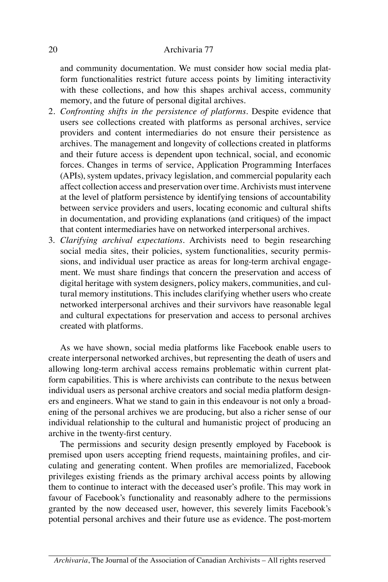and community documentation. We must consider how social media platform functionalities restrict future access points by limiting interactivity with these collections, and how this shapes archival access, community memory, and the future of personal digital archives.

- 2. *Confronting shifts in the persistence of platforms.* Despite evidence that users see collections created with platforms as personal archives, service providers and content intermediaries do not ensure their persistence as archives. The management and longevity of collections created in platforms and their future access is dependent upon technical, social, and economic forces. Changes in terms of service, Application Programming Interfaces (APIs), system updates, privacy legislation, and commercial popularity each affect collection access and preservation over time. Archivists must intervene at the level of platform persistence by identifying tensions of accountability between service providers and users, locating economic and cultural shifts in documentation, and providing explanations (and critiques) of the impact that content intermediaries have on networked interpersonal archives.
- 3. *Clarifying archival expectations.* Archivists need to begin researching social media sites, their policies, system functionalities, security permissions, and individual user practice as areas for long-term archival engagement. We must share findings that concern the preservation and access of digital heritage with system designers, policy makers, communities, and cultural memory institutions. This includes clarifying whether users who create networked interpersonal archives and their survivors have reasonable legal and cultural expectations for preservation and access to personal archives created with platforms.

As we have shown, social media platforms like Facebook enable users to create interpersonal networked archives, but representing the death of users and allowing long-term archival access remains problematic within current platform capabilities. This is where archivists can contribute to the nexus between individual users as personal archive creators and social media platform designers and engineers. What we stand to gain in this endeavour is not only a broadening of the personal archives we are producing, but also a richer sense of our individual relationship to the cultural and humanistic project of producing an archive in the twenty-first century.

The permissions and security design presently employed by Facebook is premised upon users accepting friend requests, maintaining profiles, and circulating and generating content. When profiles are memorialized, Facebook privileges existing friends as the primary archival access points by allowing them to continue to interact with the deceased user's profile. This may work in favour of Facebook's functionality and reasonably adhere to the permissions granted by the now deceased user, however, this severely limits Facebook's potential personal archives and their future use as evidence. The post-mortem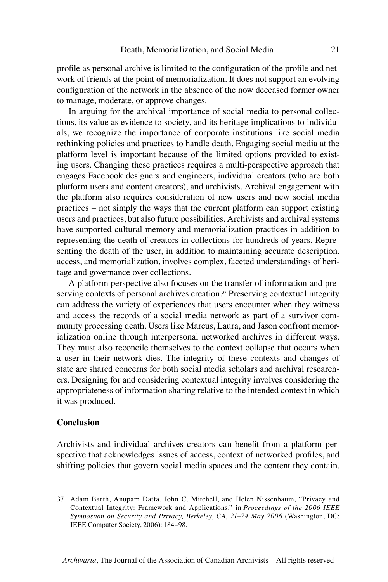profile as personal archive is limited to the configuration of the profile and network of friends at the point of memorialization. It does not support an evolving configuration of the network in the absence of the now deceased former owner to manage, moderate, or approve changes.

In arguing for the archival importance of social media to personal collections, its value as evidence to society, and its heritage implications to individuals, we recognize the importance of corporate institutions like social media rethinking policies and practices to handle death. Engaging social media at the platform level is important because of the limited options provided to existing users. Changing these practices requires a multi-perspective approach that engages Facebook designers and engineers, individual creators (who are both platform users and content creators), and archivists. Archival engagement with the platform also requires consideration of new users and new social media practices – not simply the ways that the current platform can support existing users and practices, but also future possibilities. Archivists and archival systems have supported cultural memory and memorialization practices in addition to representing the death of creators in collections for hundreds of years. Representing the death of the user, in addition to maintaining accurate description, access, and memorialization, involves complex, faceted understandings of heritage and governance over collections.

A platform perspective also focuses on the transfer of information and preserving contexts of personal archives creation.<sup>37</sup> Preserving contextual integrity can address the variety of experiences that users encounter when they witness and access the records of a social media network as part of a survivor community processing death. Users like Marcus, Laura, and Jason confront memorialization online through interpersonal networked archives in different ways. They must also reconcile themselves to the context collapse that occurs when a user in their network dies. The integrity of these contexts and changes of state are shared concerns for both social media scholars and archival researchers. Designing for and considering contextual integrity involves considering the appropriateness of information sharing relative to the intended context in which it was produced.

#### **Conclusion**

Archivists and individual archives creators can benefit from a platform perspective that acknowledges issues of access, context of networked profiles, and shifting policies that govern social media spaces and the content they contain.

<sup>37</sup> Adam Barth, Anupam Datta, John C. Mitchell, and Helen Nissenbaum, "Privacy and Contextual Integrity: Framework and Applications," in *Proceedings of the 2006 IEEE Symposium on Security and Privacy, Berkeley, CA, 21–24 May 2006* (Washington, DC: IEEE Computer Society, 2006): 184–98.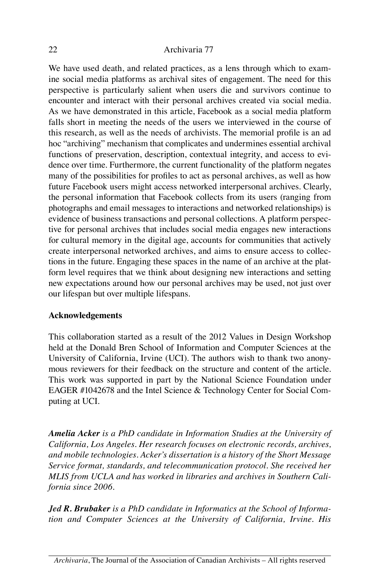We have used death, and related practices, as a lens through which to examine social media platforms as archival sites of engagement. The need for this perspective is particularly salient when users die and survivors continue to encounter and interact with their personal archives created via social media. As we have demonstrated in this article, Facebook as a social media platform falls short in meeting the needs of the users we interviewed in the course of this research, as well as the needs of archivists. The memorial profile is an ad hoc "archiving" mechanism that complicates and undermines essential archival functions of preservation, description, contextual integrity, and access to evidence over time. Furthermore, the current functionality of the platform negates many of the possibilities for profiles to act as personal archives, as well as how future Facebook users might access networked interpersonal archives. Clearly, the personal information that Facebook collects from its users (ranging from photographs and email messages to interactions and networked relationships) is evidence of business transactions and personal collections. A platform perspective for personal archives that includes social media engages new interactions for cultural memory in the digital age, accounts for communities that actively create interpersonal networked archives, and aims to ensure access to collections in the future. Engaging these spaces in the name of an archive at the platform level requires that we think about designing new interactions and setting new expectations around how our personal archives may be used, not just over our lifespan but over multiple lifespans.

#### **Acknowledgements**

This collaboration started as a result of the 2012 Values in Design Workshop held at the Donald Bren School of Information and Computer Sciences at the University of California, Irvine (UCI). The authors wish to thank two anonymous reviewers for their feedback on the structure and content of the article. This work was supported in part by the National Science Foundation under EAGER #1042678 and the Intel Science & Technology Center for Social Computing at UCI.

*Amelia Acker is a PhD candidate in Information Studies at the University of California, Los Angeles. Her research focuses on electronic records, archives, and mobile technologies. Acker's dissertation is a history of the Short Message Service format, standards, and telecommunication protocol. She received her MLIS from UCLA and has worked in libraries and archives in Southern California since 2006.*

*Jed R. Brubaker is a PhD candidate in Informatics at the School of Information and Computer Sciences at the University of California, Irvine. His*